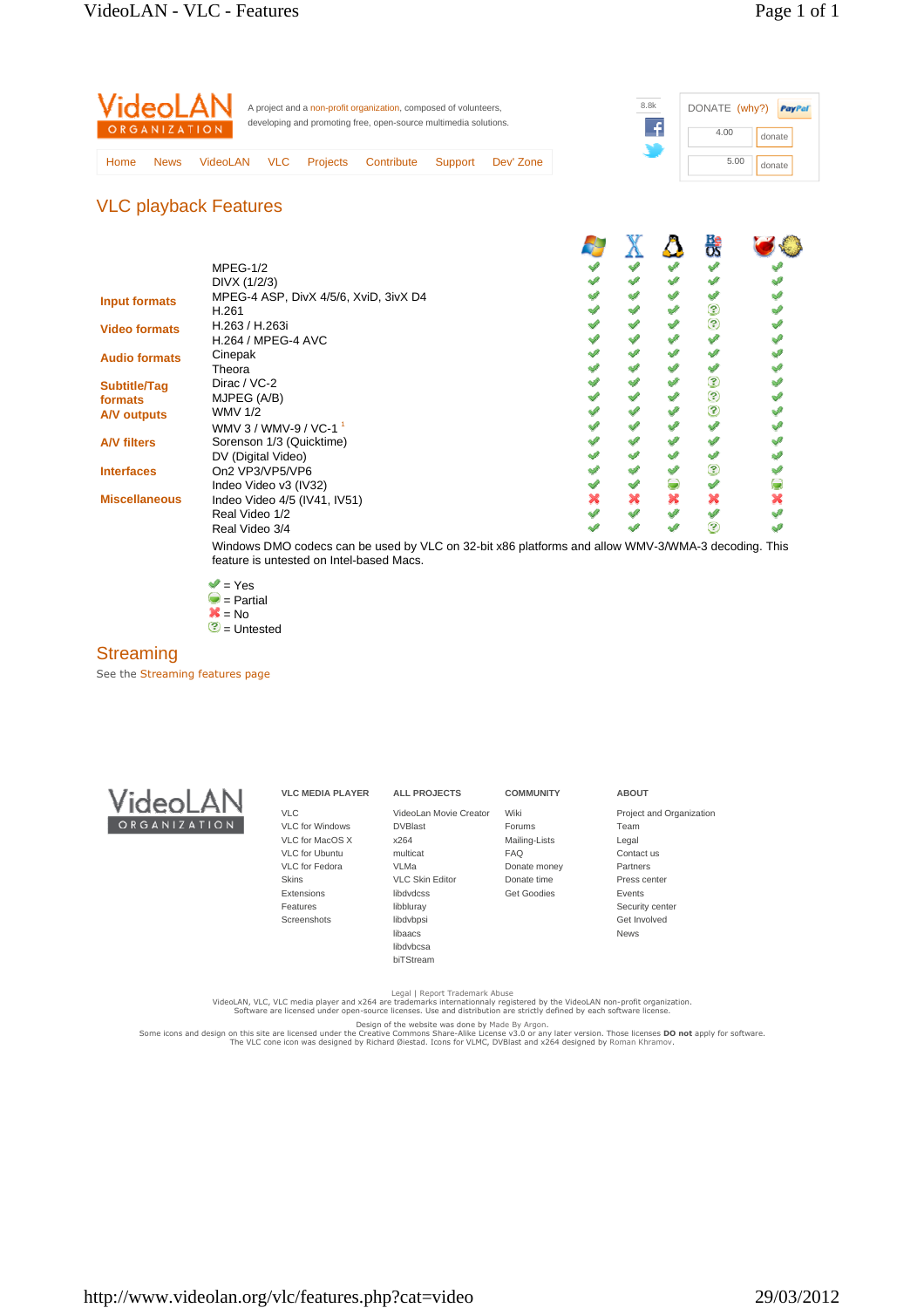| VideoLAN<br>ORGANIZATION |             |                 | A project and a non-profit organization, composed of volunteers,<br>developing and promoting free, open-source multimedia solutions. |                 |            |         | 8.8k      |  | DONATE (why?) | PayPal<br>donate |  |
|--------------------------|-------------|-----------------|--------------------------------------------------------------------------------------------------------------------------------------|-----------------|------------|---------|-----------|--|---------------|------------------|--|
| Home                     | <b>News</b> | <b>VideoLAN</b> | <b>VLC</b>                                                                                                                           | <b>Projects</b> | Contribute | Support | Dev' Zone |  | 5.00          | donate           |  |

## VLC playback Features

|                      |                                                                                                                                                |   |   | 쁁                 |  |
|----------------------|------------------------------------------------------------------------------------------------------------------------------------------------|---|---|-------------------|--|
|                      | $MPEG-1/2$                                                                                                                                     |   |   |                   |  |
|                      | DIVX (1/2/3)                                                                                                                                   |   |   |                   |  |
|                      | MPEG-4 ASP, DivX 4/5/6, XviD, 3ivX D4                                                                                                          |   |   |                   |  |
| <b>Input formats</b> | H.261                                                                                                                                          |   |   | ℗                 |  |
| <b>Video formats</b> | H.263 / H.263i                                                                                                                                 |   |   | $\circledR$       |  |
|                      | <b>H.264 / MPEG-4 AVC</b>                                                                                                                      |   |   |                   |  |
| <b>Audio formats</b> | Cinepak                                                                                                                                        |   |   |                   |  |
|                      | Theora                                                                                                                                         |   |   |                   |  |
| <b>Subtitle/Tag</b>  | Dirac / VC-2                                                                                                                                   |   |   | ℗                 |  |
| formats              | MJPEG (A/B)                                                                                                                                    |   |   | ☺                 |  |
| A/V outputs          | <b>WMV 1/2</b>                                                                                                                                 |   |   | ☺                 |  |
|                      | WMV 3 / WMV-9 / VC-1 <sup>1</sup>                                                                                                              |   |   |                   |  |
| <b>A/V filters</b>   | Sorenson 1/3 (Quicktime)                                                                                                                       |   |   |                   |  |
|                      | DV (Digital Video)                                                                                                                             |   |   |                   |  |
| <b>Interfaces</b>    | On2 VP3/VP5/VP6                                                                                                                                |   |   | $\left( 3\right)$ |  |
|                      | Indeo Video v3 (IV32)                                                                                                                          |   |   |                   |  |
| <b>Miscellaneous</b> | Indeo Video 4/5 (IV41, IV51)                                                                                                                   | × | × |                   |  |
|                      | Real Video 1/2                                                                                                                                 |   |   |                   |  |
|                      | Real Video 3/4                                                                                                                                 |   |   | 9                 |  |
|                      | Windows DMO codecs can be used by VLC on 32-bit x86 platforms and allow WMV-3/WMA-3 decoding. This<br>feature is untested on Intel-based Macs. |   |   |                   |  |

 $\blacktriangledown$  = Yes = Partial

 = No  $\circled{2}$  = Untested

### **Streaming**

See the Streaming features page



| <b>VLC MEDIA PLAYER</b> | <b>ALL PROJECTS</b>     | <b>COMMUNITY</b>   | <b>ABOUT</b>             |
|-------------------------|-------------------------|--------------------|--------------------------|
| <b>VLC</b>              | Videol an Movie Creator | Wiki               | Project and Organization |
| <b>VLC</b> for Windows  | <b>DVBlast</b>          | <b>Forums</b>      | Team                     |
| VLC for MacOS X         | x264                    | Mailing-Lists      | Legal                    |
| <b>VLC</b> for Ubuntu   | multicat                | <b>FAQ</b>         | Contact us               |
| VLC for Fedora          | VLMa                    | Donate money       | <b>Partners</b>          |
| <b>Skins</b>            | <b>VLC Skin Editor</b>  | Donate time        | Press center             |
| Extensions              | libdydcss               | <b>Get Goodies</b> | Events                   |
| Features                | libbluray               |                    | Security center          |
| Screenshots             | libdvbpsi               |                    | Get Involved             |
|                         | libaacs                 |                    | <b>News</b>              |
|                         | libdybcsa               |                    |                          |
|                         | biTStream               |                    |                          |
|                         |                         |                    |                          |

Legal | Report Trademark Abuse<br>VideoLAN, VLC, VLC media player and x264 are trademarks internationnaly registered by the VideoLAN non-profit organization.<br>Software are licensed under open-source licenses. Use and distribut

Design of the website was done by Made By Argon.<br>Some icons and design on this site are licensed under the treative Commons Share-Alike Licenses Comparter version. Those licenses **DO not** apply for software.<br>The VLC cone i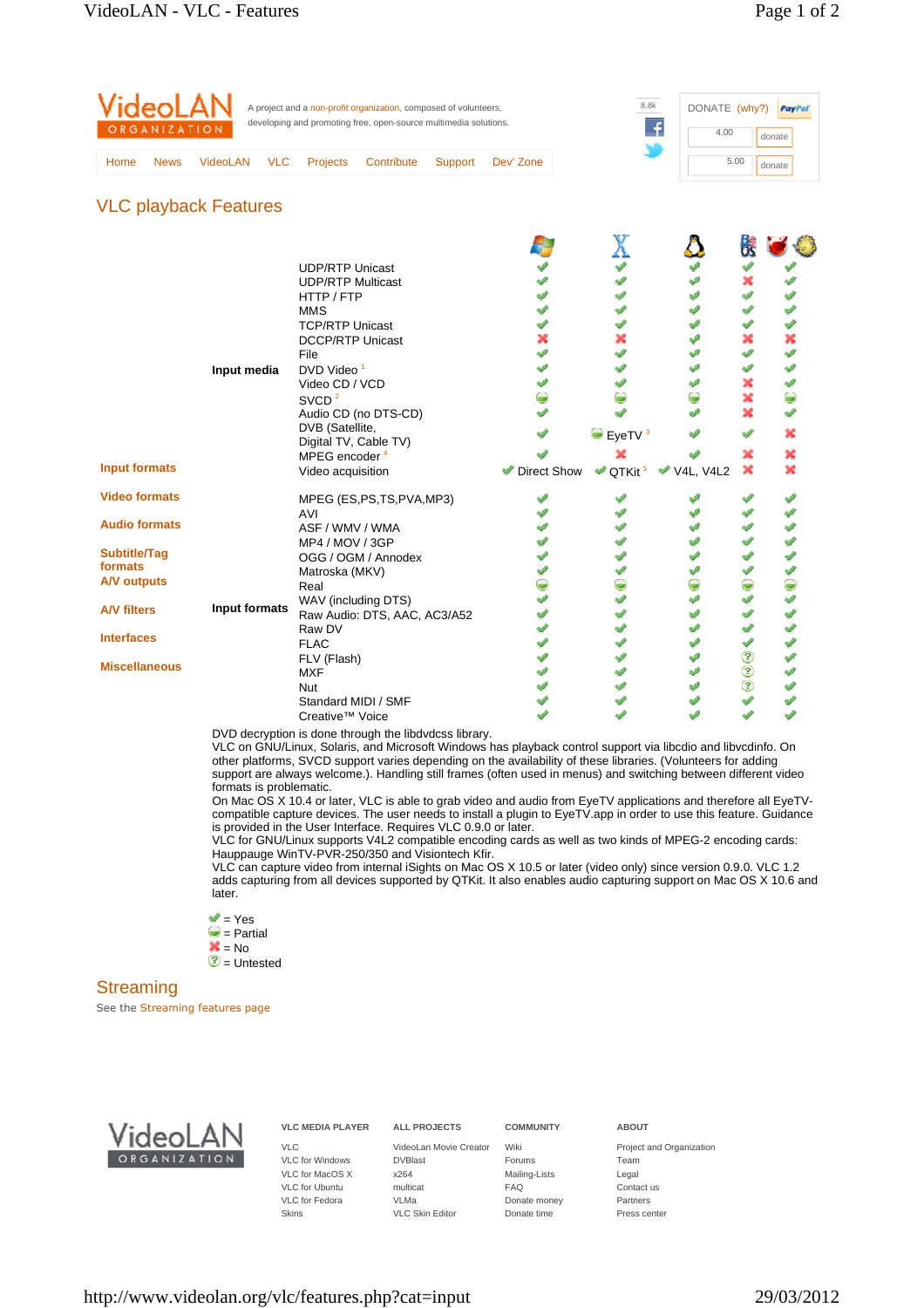| 5.00<br><b>VLC</b><br><b>Projects</b><br><b>VideoLAN</b><br>Contribute<br>Dev' Zone<br>Support<br><b>News</b><br>Home | DONATE (why?)<br>PayPal<br>donate |  |
|-----------------------------------------------------------------------------------------------------------------------|-----------------------------------|--|
|                                                                                                                       | donate                            |  |

## VLC playback Features

|                                     |                                          |                    |                                          |           | <b>Be</b>                   |  |
|-------------------------------------|------------------------------------------|--------------------|------------------------------------------|-----------|-----------------------------|--|
|                                     | <b>UDP/RTP Unicast</b>                   |                    |                                          |           |                             |  |
|                                     | <b>UDP/RTP Multicast</b>                 |                    |                                          |           | ×                           |  |
|                                     | HTTP / FTP                               |                    |                                          |           | جي                          |  |
|                                     | <b>MMS</b>                               |                    |                                          |           | ✔                           |  |
|                                     | <b>TCP/RTP Unicast</b>                   |                    |                                          | A         | P                           |  |
|                                     | <b>DCCP/RTP Unicast</b>                  |                    |                                          | Å         | ×                           |  |
|                                     | File                                     |                    |                                          |           | Í                           |  |
| Input media                         | DVD Video <sup>1</sup>                   |                    |                                          |           |                             |  |
|                                     | Video CD / VCD                           |                    |                                          |           | ×                           |  |
|                                     | SVCD <sup>2</sup>                        |                    |                                          | ۵         | ×                           |  |
|                                     | Audio CD (no DTS-CD)                     |                    |                                          |           | ×                           |  |
|                                     | DVB (Satellite,<br>Digital TV, Cable TV) |                    | $\bullet$ EyeTV $3$                      |           | ✔                           |  |
|                                     | MPEG encoder <sup>4</sup>                |                    | ×                                        |           | ×                           |  |
| <b>Input formats</b>                | Video acquisition                        | <b>Direct Show</b> | $\blacktriangleright$ QTKit <sup>5</sup> | V4L, V4L2 | ×                           |  |
| <b>Video formats</b>                | MPEG (ES,PS,TS,PVA,MP3)                  |                    |                                          |           |                             |  |
|                                     | AVI                                      |                    |                                          |           | P                           |  |
| <b>Audio formats</b>                | ASF / WMV / WMA                          |                    |                                          |           | A                           |  |
|                                     | MP4 / MOV / 3GP                          |                    |                                          |           |                             |  |
| Subtitle/Tag<br>formats             | OGG / OGM / Annodex                      |                    |                                          |           |                             |  |
|                                     | Matroska (MKV)                           |                    |                                          |           |                             |  |
| <b>A/V outputs</b>                  | Real                                     |                    |                                          | ◒         | ●                           |  |
| Input formats<br><b>A/V filters</b> | WAV (including DTS)                      |                    |                                          |           | v                           |  |
|                                     | Raw Audio: DTS, AAC, AC3/A52             |                    |                                          | Ú         | P                           |  |
| <b>Interfaces</b>                   | Raw DV                                   |                    |                                          |           |                             |  |
|                                     | <b>FLAC</b>                              |                    |                                          | ୰         | $\mathcal{L}^{\mathcal{L}}$ |  |
| <b>Miscellaneous</b>                | FLV (Flash)                              |                    |                                          | فمحصه     | ☺                           |  |
|                                     | <b>MXF</b>                               |                    |                                          |           | $\odot$                     |  |
|                                     | <b>Nut</b>                               |                    |                                          |           | ☺                           |  |
|                                     | Standard MIDI / SMF                      |                    |                                          |           | $\mathcal{L}$               |  |
|                                     | Creative <sup>™</sup> Voice              |                    |                                          |           |                             |  |

DVD decryption is done through the libdvdcss library.

VLC on GNU/Linux, Solaris, and Microsoft Windows has playback control support via libcdio and libvcdinfo. On other platforms, SVCD support varies depending on the availability of these libraries. (Volunteers for adding support are always welcome.). Handling still frames (often used in menus) and switching between different video formats is problematic.

On Mac OS X 10.4 or later, VLC is able to grab video and audio from EyeTV applications and therefore all EyeTVcompatible capture devices. The user needs to install a plugin to EyeTV.app in order to use this feature. Guidance is provided in the User Interface. Requires VLC 0.9.0 or later.

VLC for GNU/Linux supports V4L2 compatible encoding cards as well as two kinds of MPEG-2 encoding cards: Hauppauge WinTV-PVR-250/350 and Visiontech Kfir.

VLC can capture video from internal iSights on Mac OS X 10.5 or later (video only) since version 0.9.0. VLC 1.2 adds capturing from all devices supported by QTKit. It also enables audio capturing support on Mac OS X 10.6 and later.

- $\blacktriangledown$  = Yes
- $\bullet$  = Partial
- $\overline{\mathbf{x}}$  = No

 $\circledcirc$  = Untested

## **Streaming**

See the Streaming features page



# **VLC MEDIA PLAYER**

VLC VLC for Windows VLC for MacOS X VLC for Ubuntu VLC for Fedora Skins

DVBlast x264 multicat VLMa VLC Skin Editor

**ALL PROJECTS**

VideoLan Movie Creator Wiki

**COMMUNITY**

Forums Mailing-Lists FAQ Donate money Donate time

#### **ABOUT**

Project and Organization Team Legal Contact us Partners Press center